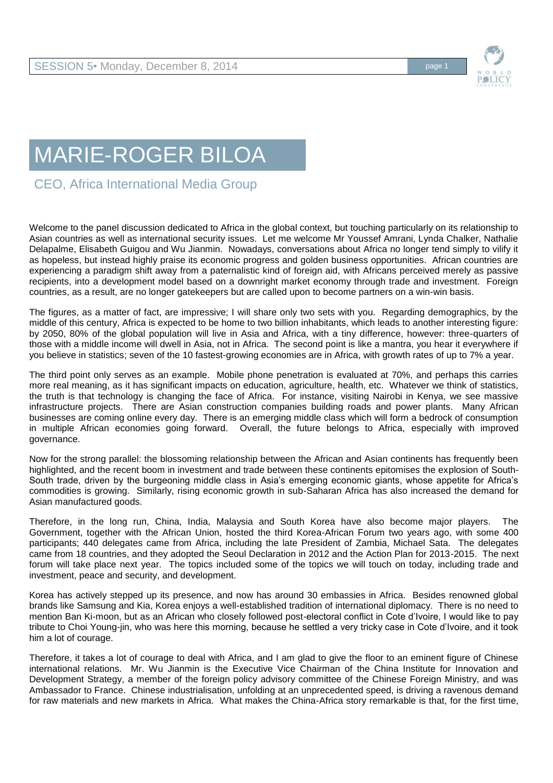

## MARIE-ROGER BILOA

CEO, Africa International Media Group

Welcome to the panel discussion dedicated to Africa in the global context, but touching particularly on its relationship to Asian countries as well as international security issues. Let me welcome Mr Youssef Amrani, Lynda Chalker, Nathalie Delapalme, Elisabeth Guigou and Wu Jianmin. Nowadays, conversations about Africa no longer tend simply to vilify it as hopeless, but instead highly praise its economic progress and golden business opportunities. African countries are experiencing a paradigm shift away from a paternalistic kind of foreign aid, with Africans perceived merely as passive recipients, into a development model based on a downright market economy through trade and investment. Foreign countries, as a result, are no longer gatekeepers but are called upon to become partners on a win-win basis.

The figures, as a matter of fact, are impressive; I will share only two sets with you. Regarding demographics, by the middle of this century, Africa is expected to be home to two billion inhabitants, which leads to another interesting figure: by 2050, 80% of the global population will live in Asia and Africa, with a tiny difference, however: three-quarters of those with a middle income will dwell in Asia, not in Africa. The second point is like a mantra, you hear it everywhere if you believe in statistics; seven of the 10 fastest-growing economies are in Africa, with growth rates of up to 7% a year.

The third point only serves as an example. Mobile phone penetration is evaluated at 70%, and perhaps this carries more real meaning, as it has significant impacts on education, agriculture, health, etc. Whatever we think of statistics, the truth is that technology is changing the face of Africa. For instance, visiting Nairobi in Kenya, we see massive infrastructure projects. There are Asian construction companies building roads and power plants. Many African businesses are coming online every day. There is an emerging middle class which will form a bedrock of consumption in multiple African economies going forward. Overall, the future belongs to Africa, especially with improved governance.

Now for the strong parallel: the blossoming relationship between the African and Asian continents has frequently been highlighted, and the recent boom in investment and trade between these continents epitomises the explosion of South-South trade, driven by the burgeoning middle class in Asia's emerging economic giants, whose appetite for Africa's commodities is growing. Similarly, rising economic growth in sub-Saharan Africa has also increased the demand for Asian manufactured goods.

Therefore, in the long run, China, India, Malaysia and South Korea have also become major players. The Government, together with the African Union, hosted the third Korea-African Forum two years ago, with some 400 participants; 440 delegates came from Africa, including the late President of Zambia, Michael Sata. The delegates came from 18 countries, and they adopted the Seoul Declaration in 2012 and the Action Plan for 2013-2015. The next forum will take place next year. The topics included some of the topics we will touch on today, including trade and investment, peace and security, and development.

Korea has actively stepped up its presence, and now has around 30 embassies in Africa. Besides renowned global brands like Samsung and Kia, Korea enjoys a well-established tradition of international diplomacy. There is no need to mention Ban Ki-moon, but as an African who closely followed post-electoral conflict in Cote d'Ivoire, I would like to pay tribute to Choi Young-jin, who was here this morning, because he settled a very tricky case in Cote d'Ivoire, and it took him a lot of courage.

Therefore, it takes a lot of courage to deal with Africa, and I am glad to give the floor to an eminent figure of Chinese international relations. Mr. Wu Jianmin is the Executive Vice Chairman of the China Institute for Innovation and Development Strategy, a member of the foreign policy advisory committee of the Chinese Foreign Ministry, and was Ambassador to France. Chinese industrialisation, unfolding at an unprecedented speed, is driving a ravenous demand for raw materials and new markets in Africa. What makes the China-Africa story remarkable is that, for the first time,